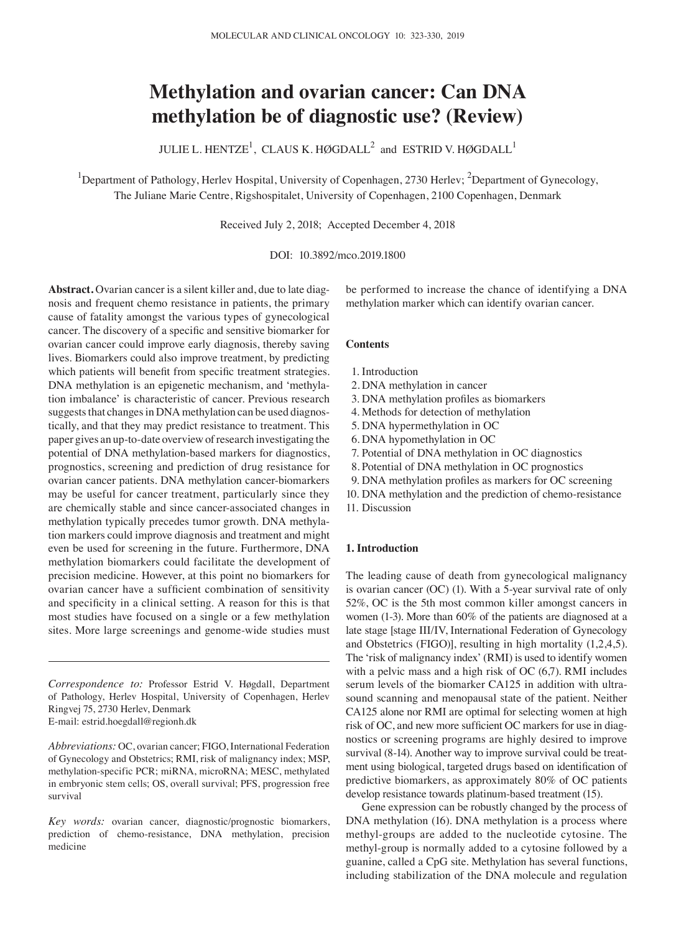# **Methylation and ovarian cancer: Can DNA methylation be of diagnostic use? (Review)**

JULIE L. HENTZE $^1$ , CLAUS K. HØGDALL $^2$  and ESTRID V. HØGDALL $^1$ 

<sup>1</sup>Department of Pathology, Herlev Hospital, University of Copenhagen, 2730 Herlev; <sup>2</sup>Department of Gynecology, The Juliane Marie Centre, Rigshospitalet, University of Copenhagen, 2100 Copenhagen, Denmark

Received July 2, 2018; Accepted December 4, 2018

DOI: 10.3892/mco.2019.1800

**Abstract.** Ovarian cancer is a silent killer and, due to late diagnosis and frequent chemo resistance in patients, the primary cause of fatality amongst the various types of gynecological cancer. The discovery of a specific and sensitive biomarker for ovarian cancer could improve early diagnosis, thereby saving lives. Biomarkers could also improve treatment, by predicting which patients will benefit from specific treatment strategies. DNA methylation is an epigenetic mechanism, and 'methylation imbalance' is characteristic of cancer. Previous research suggests that changes in DNA methylation can be used diagnostically, and that they may predict resistance to treatment. This paper gives an up-to-date overview of research investigating the potential of DNA methylation-based markers for diagnostics, prognostics, screening and prediction of drug resistance for ovarian cancer patients. DNA methylation cancer-biomarkers may be useful for cancer treatment, particularly since they are chemically stable and since cancer‑associated changes in methylation typically precedes tumor growth. DNA methylation markers could improve diagnosis and treatment and might even be used for screening in the future. Furthermore, DNA methylation biomarkers could facilitate the development of precision medicine. However, at this point no biomarkers for ovarian cancer have a sufficient combination of sensitivity and specificity in a clinical setting. A reason for this is that most studies have focused on a single or a few methylation sites. More large screenings and genome-wide studies must

*Correspondence to:* Professor Estrid V. Høgdall, Department of Pathology, Herlev Hospital, University of Copenhagen, Herlev Ringvej 75, 2730 Herlev, Denmark E-mail: estrid.hoegdall@regionh.dk

*Abbreviations:* OC, ovarian cancer; FIGO, International Federation of Gynecology and Obstetrics; RMI, risk of malignancy index; MSP, methylation‑specific PCR; miRNA, microRNA; MESC, methylated in embryonic stem cells; OS, overall survival; PFS, progression free survival

*Key words:* ovarian cancer, diagnostic/prognostic biomarkers, prediction of chemo-resistance, DNA methylation, precision medicine

be performed to increase the chance of identifying a DNA methylation marker which can identify ovarian cancer.

#### **Contents**

- 1. Introduction
- 2. DNA methylation in cancer
- 3. DNA methylation profiles as biomarkers
- 4. Methods for detection of methylation
- 5. DNA hypermethylation in OC
- 6. DNA hypomethylation in OC
- 7. Potential of DNA methylation in OC diagnostics
- 8. Potential of DNA methylation in OC prognostics
- 9. DNA methylation profiles as markers for OC screening
- 10. DNA methylation and the prediction of chemo-resistance
- 11. Discussion

# **1. Introduction**

The leading cause of death from gynecological malignancy is ovarian cancer (OC) (1). With a 5-year survival rate of only 52%, OC is the 5th most common killer amongst cancers in women (1-3). More than 60% of the patients are diagnosed at a late stage [stage III/IV, International Federation of Gynecology and Obstetrics (FIGO)], resulting in high mortality (1,2,4,5). The 'risk of malignancy index' (RMI) is used to identify women with a pelvic mass and a high risk of OC (6,7). RMI includes serum levels of the biomarker CA125 in addition with ultrasound scanning and menopausal state of the patient. Neither CA125 alone nor RMI are optimal for selecting women at high risk of OC, and new more sufficient OC markers for use in diagnostics or screening programs are highly desired to improve survival (8-14). Another way to improve survival could be treatment using biological, targeted drugs based on identification of predictive biomarkers, as approximately 80% of OC patients develop resistance towards platinum-based treatment (15).

Gene expression can be robustly changed by the process of DNA methylation (16). DNA methylation is a process where methyl-groups are added to the nucleotide cytosine. The methyl‑group is normally added to a cytosine followed by a guanine, called a CpG site. Methylation has several functions, including stabilization of the DNA molecule and regulation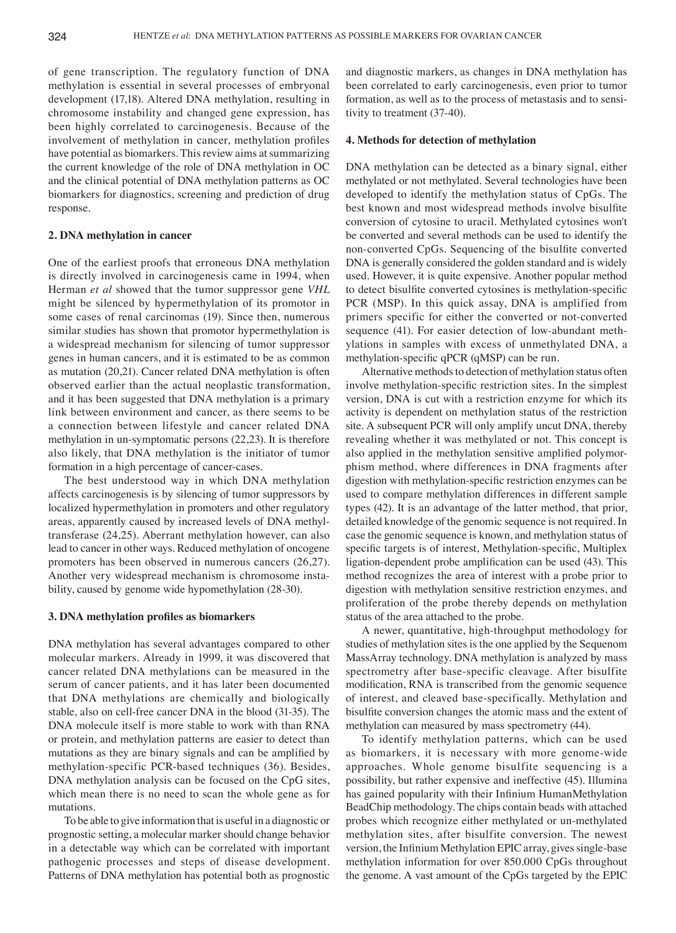of gene transcription. The regulatory function of DNA methylation is essential in several processes of embryonal development (17,18). Altered DNA methylation, resulting in chromosome instability and changed gene expression, has been highly correlated to carcinogenesis. Because of the involvement of methylation in cancer, methylation profiles have potential as biomarkers. This review aims at summarizing the current knowledge of the role of DNA methylation in OC and the clinical potential of DNA methylation patterns as OC biomarkers for diagnostics, screening and prediction of drug response.

## **2. DNA methylation in cancer**

One of the earliest proofs that erroneous DNA methylation is directly involved in carcinogenesis came in 1994, when Herman *et al* showed that the tumor suppressor gene *VHL* might be silenced by hypermethylation of its promotor in some cases of renal carcinomas (19). Since then, numerous similar studies has shown that promotor hypermethylation is a widespread mechanism for silencing of tumor suppressor genes in human cancers, and it is estimated to be as common as mutation (20,21). Cancer related DNA methylation is often observed earlier than the actual neoplastic transformation, and it has been suggested that DNA methylation is a primary link between environment and cancer, as there seems to be a connection between lifestyle and cancer related DNA methylation in un-symptomatic persons (22,23). It is therefore also likely, that DNA methylation is the initiator of tumor formation in a high percentage of cancer-cases.

The best understood way in which DNA methylation affects carcinogenesis is by silencing of tumor suppressors by localized hypermethylation in promoters and other regulatory areas, apparently caused by increased levels of DNA methyltransferase (24,25). Aberrant methylation however, can also lead to cancer in other ways. Reduced methylation of oncogene promoters has been observed in numerous cancers (26,27). Another very widespread mechanism is chromosome instability, caused by genome wide hypomethylation (28-30).

## **3. DNA methylation profiles as biomarkers**

DNA methylation has several advantages compared to other molecular markers. Already in 1999, it was discovered that cancer related DNA methylations can be measured in the serum of cancer patients, and it has later been documented that DNA methylations are chemically and biologically stable, also on cell-free cancer DNA in the blood (31-35). The DNA molecule itself is more stable to work with than RNA or protein, and methylation patterns are easier to detect than mutations as they are binary signals and can be amplified by methylation-specific PCR-based techniques (36). Besides, DNA methylation analysis can be focused on the CpG sites, which mean there is no need to scan the whole gene as for mutations.

To be able to give information that is useful in a diagnostic or prognostic setting, a molecular marker should change behavior in a detectable way which can be correlated with important pathogenic processes and steps of disease development. Patterns of DNA methylation has potential both as prognostic and diagnostic markers, as changes in DNA methylation has been correlated to early carcinogenesis, even prior to tumor formation, as well as to the process of metastasis and to sensitivity to treatment (37-40).

# **4. Methods for detection of methylation**

DNA methylation can be detected as a binary signal, either methylated or not methylated. Several technologies have been developed to identify the methylation status of CpGs. The best known and most widespread methods involve bisulfite conversion of cytosine to uracil. Methylated cytosines won't be converted and several methods can be used to identify the non‑converted CpGs. Sequencing of the bisulfite converted DNA is generally considered the golden standard and is widely used. However, it is quite expensive. Another popular method to detect bisulfite converted cytosines is methylation‑specific PCR (MSP). In this quick assay, DNA is amplified from primers specific for either the converted or not-converted sequence (41). For easier detection of low-abundant methylations in samples with excess of unmethylated DNA, a methylation-specific qPCR (qMSP) can be run.

Alternative methods to detection of methylation status often involve methylation‑specific restriction sites. In the simplest version, DNA is cut with a restriction enzyme for which its activity is dependent on methylation status of the restriction site. A subsequent PCR will only amplify uncut DNA, thereby revealing whether it was methylated or not. This concept is also applied in the methylation sensitive amplified polymorphism method, where differences in DNA fragments after digestion with methylation‑specific restriction enzymes can be used to compare methylation differences in different sample types (42). It is an advantage of the latter method, that prior, detailed knowledge of the genomic sequence is not required. In case the genomic sequence is known, and methylation status of specific targets is of interest, Methylation-specific, Multiplex ligation–dependent probe amplification can be used (43). This method recognizes the area of interest with a probe prior to digestion with methylation sensitive restriction enzymes, and proliferation of the probe thereby depends on methylation status of the area attached to the probe.

A newer, quantitative, high-throughput methodology for studies of methylation sites is the one applied by the Sequenom MassArray technology. DNA methylation is analyzed by mass spectrometry after base‑specific cleavage. After bisulfite modification, RNA is transcribed from the genomic sequence of interest, and cleaved base‑specifically. Methylation and bisulfite conversion changes the atomic mass and the extent of methylation can measured by mass spectrometry (44).

To identify methylation patterns, which can be used as biomarkers, it is necessary with more genome-wide approaches. Whole genome bisulfite sequencing is a possibility, but rather expensive and ineffective (45). Illumina has gained popularity with their Infinium HumanMethylation BeadChip methodology. The chips contain beads with attached probes which recognize either methylated or un‑methylated methylation sites, after bisulfite conversion. The newest version, the Infinium Methylation EPIC array, gives single-base methylation information for over 850.000 CpGs throughout the genome. A vast amount of the CpGs targeted by the EPIC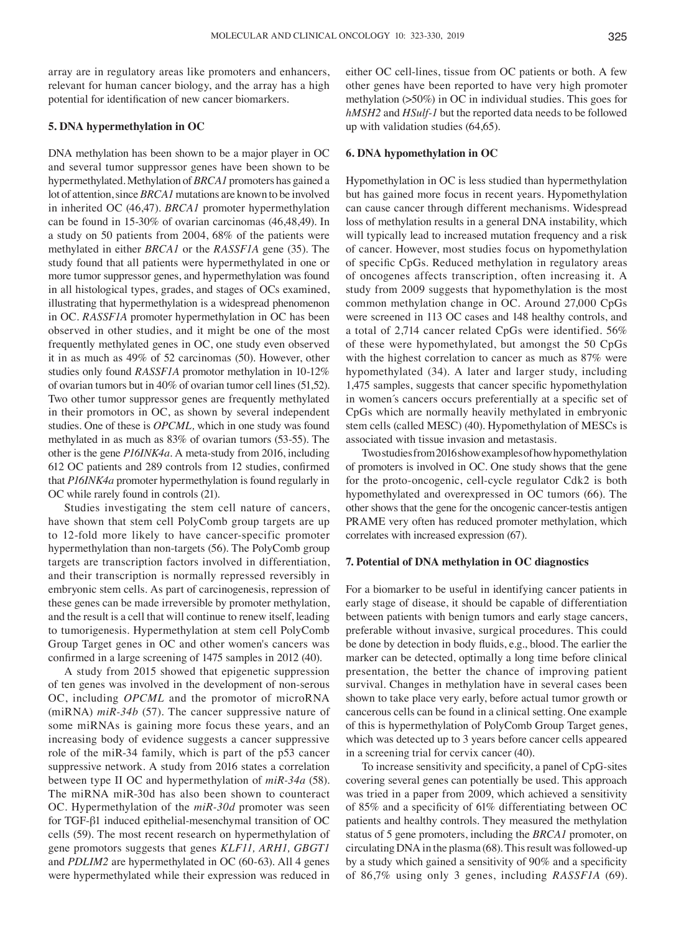array are in regulatory areas like promoters and enhancers, relevant for human cancer biology, and the array has a high potential for identification of new cancer biomarkers.

### **5. DNA hypermethylation in OC**

DNA methylation has been shown to be a major player in OC and several tumor suppressor genes have been shown to be hypermethylated. Methylation of *BRCA1* promoters has gained a lot of attention, since *BRCA1* mutations are known to be involved in inherited OC (46,47). *BRCA1* promoter hypermethylation can be found in 15‑30% of ovarian carcinomas (46,48,49). In a study on 50 patients from 2004, 68% of the patients were methylated in either *BRCA1* or the *RASSF1A* gene (35). The study found that all patients were hypermethylated in one or more tumor suppressor genes, and hypermethylation was found in all histological types, grades, and stages of OCs examined, illustrating that hypermethylation is a widespread phenomenon in OC. *RASSF1A* promoter hypermethylation in OC has been observed in other studies, and it might be one of the most frequently methylated genes in OC, one study even observed it in as much as 49% of 52 carcinomas (50). However, other studies only found *RASSF1A* promotor methylation in 10-12% of ovarian tumors but in 40% of ovarian tumor cell lines (51,52). Two other tumor suppressor genes are frequently methylated in their promotors in OC, as shown by several independent studies. One of these is *OPCML,* which in one study was found methylated in as much as 83% of ovarian tumors (53-55). The other is the gene *P16INK4a*. A meta-study from 2016, including 612 OC patients and 289 controls from 12 studies, confirmed that *P16INK4a* promoter hypermethylation is found regularly in OC while rarely found in controls (21).

Studies investigating the stem cell nature of cancers, have shown that stem cell PolyComb group targets are up to 12-fold more likely to have cancer-specific promoter hypermethylation than non-targets (56). The PolyComb group targets are transcription factors involved in differentiation, and their transcription is normally repressed reversibly in embryonic stem cells. As part of carcinogenesis, repression of these genes can be made irreversible by promoter methylation, and the result is a cell that will continue to renew itself, leading to tumorigenesis. Hypermethylation at stem cell PolyComb Group Target genes in OC and other women's cancers was confirmed in a large screening of 1475 samples in 2012 (40).

A study from 2015 showed that epigenetic suppression of ten genes was involved in the development of non-serous OC, including *OPCML* and the promotor of microRNA (miRNA) *miR‑34b* (57). The cancer suppressive nature of some miRNAs is gaining more focus these years, and an increasing body of evidence suggests a cancer suppressive role of the miR-34 family, which is part of the p53 cancer suppressive network. A study from 2016 states a correlation between type II OC and hypermethylation of *miR‑34a* (58). The miRNA miR-30d has also been shown to counteract OC. Hypermethylation of the *miR‑30d* promoter was seen for TGF‑β1 induced epithelial-mesenchymal transition of OC cells (59). The most recent research on hypermethylation of gene promotors suggests that genes *KLF11, ARH1, GBGT1*  and *PDLIM2* are hypermethylated in OC (60-63). All 4 genes were hypermethylated while their expression was reduced in either OC cell-lines, tissue from OC patients or both. A few other genes have been reported to have very high promoter methylation (>50%) in OC in individual studies. This goes for *hMSH2* and *HSulf‑1* but the reported data needs to be followed up with validation studies (64,65).

### **6. DNA hypomethylation in OC**

Hypomethylation in OC is less studied than hypermethylation but has gained more focus in recent years. Hypomethylation can cause cancer through different mechanisms. Widespread loss of methylation results in a general DNA instability, which will typically lead to increased mutation frequency and a risk of cancer. However, most studies focus on hypomethylation of specific CpGs. Reduced methylation in regulatory areas of oncogenes affects transcription, often increasing it. A study from 2009 suggests that hypomethylation is the most common methylation change in OC. Around 27,000 CpGs were screened in 113 OC cases and 148 healthy controls, and a total of 2,714 cancer related CpGs were identified. 56% of these were hypomethylated, but amongst the 50 CpGs with the highest correlation to cancer as much as 87% were hypomethylated (34). A later and larger study, including 1,475 samples, suggests that cancer specific hypomethylation in women´s cancers occurs preferentially at a specific set of CpGs which are normally heavily methylated in embryonic stem cells (called MESC) (40). Hypomethylation of MESCs is associated with tissue invasion and metastasis.

Two studies from 2016 show examples of how hypomethylation of promoters is involved in OC. One study shows that the gene for the proto-oncogenic, cell-cycle regulator Cdk2 is both hypomethylated and overexpressed in OC tumors (66). The other shows that the gene for the oncogenic cancer-testis antigen PRAME very often has reduced promoter methylation, which correlates with increased expression (67).

#### **7. Potential of DNA methylation in OC diagnostics**

For a biomarker to be useful in identifying cancer patients in early stage of disease, it should be capable of differentiation between patients with benign tumors and early stage cancers, preferable without invasive, surgical procedures. This could be done by detection in body fluids, e.g., blood. The earlier the marker can be detected, optimally a long time before clinical presentation, the better the chance of improving patient survival. Changes in methylation have in several cases been shown to take place very early, before actual tumor growth or cancerous cells can be found in a clinical setting. One example of this is hypermethylation of PolyComb Group Target genes, which was detected up to 3 years before cancer cells appeared in a screening trial for cervix cancer (40).

To increase sensitivity and specificity, a panel of CpG‑sites covering several genes can potentially be used. This approach was tried in a paper from 2009, which achieved a sensitivity of 85% and a specificity of 61% differentiating between OC patients and healthy controls. They measured the methylation status of 5 gene promoters, including the *BRCA1* promoter, on circulating DNA in the plasma (68). This result was followed-up by a study which gained a sensitivity of 90% and a specificity of 86,7% using only 3 genes, including *RASSF1A* (69)*.*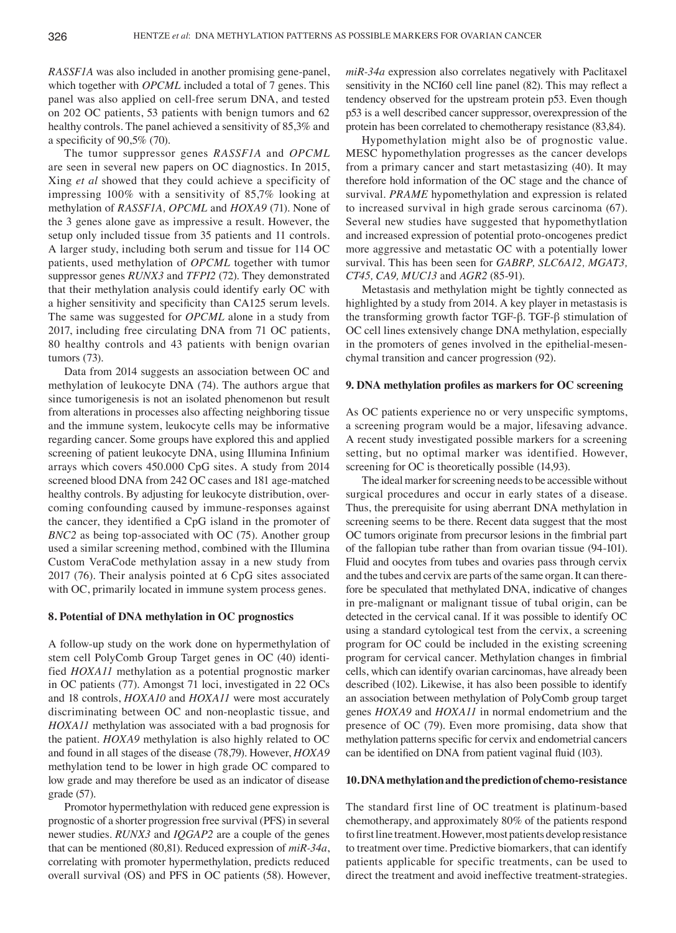*RASSF1A* was also included in another promising gene-panel, which together with *OPCML* included a total of 7 genes. This panel was also applied on cell-free serum DNA, and tested on 202 OC patients, 53 patients with benign tumors and 62 healthy controls. The panel achieved a sensitivity of 85,3% and a specificity of 90,5% (70).

The tumor suppressor genes *RASSF1A* and *OPCML* are seen in several new papers on OC diagnostics. In 2015, Xing *et al* showed that they could achieve a specificity of impressing 100% with a sensitivity of 85,7% looking at methylation of *RASSF1A, OPCML* and *HOXA9* (71)*.* None of the 3 genes alone gave as impressive a result. However, the setup only included tissue from 35 patients and 11 controls. A larger study, including both serum and tissue for 114 OC patients, used methylation of *OPCML* together with tumor suppressor genes *RUNX3* and *TFPI2* (72). They demonstrated that their methylation analysis could identify early OC with a higher sensitivity and specificity than CA125 serum levels. The same was suggested for *OPCML* alone in a study from 2017, including free circulating DNA from 71 OC patients, 80 healthy controls and 43 patients with benign ovarian tumors (73).

Data from 2014 suggests an association between OC and methylation of leukocyte DNA (74). The authors argue that since tumorigenesis is not an isolated phenomenon but result from alterations in processes also affecting neighboring tissue and the immune system, leukocyte cells may be informative regarding cancer. Some groups have explored this and applied screening of patient leukocyte DNA, using Illumina Infinium arrays which covers 450.000 CpG sites. A study from 2014 screened blood DNA from 242 OC cases and 181 age-matched healthy controls. By adjusting for leukocyte distribution, overcoming confounding caused by immune‑responses against the cancer, they identified a CpG island in the promoter of *BNC2* as being top-associated with OC (75). Another group used a similar screening method, combined with the Illumina Custom VeraCode methylation assay in a new study from 2017 (76). Their analysis pointed at 6 CpG sites associated with OC, primarily located in immune system process genes.

## **8. Potential of DNA methylation in OC prognostics**

A follow-up study on the work done on hypermethylation of stem cell PolyComb Group Target genes in OC (40) identified *HOXA11* methylation as a potential prognostic marker in OC patients (77). Amongst 71 loci, investigated in 22 OCs and 18 controls, *HOXA10* and *HOXA11* were most accurately discriminating between OC and non‑neoplastic tissue, and *HOXA11* methylation was associated with a bad prognosis for the patient. *HOXA9* methylation is also highly related to OC and found in all stages of the disease (78,79). However, *HOXA9* methylation tend to be lower in high grade OC compared to low grade and may therefore be used as an indicator of disease grade (57).

Promotor hypermethylation with reduced gene expression is prognostic of a shorter progression free survival (PFS) in several newer studies*. RUNX3* and *IQGAP2* are a couple of the genes that can be mentioned (80,81). Reduced expression of *miR‑34a*, correlating with promoter hypermethylation, predicts reduced overall survival (OS) and PFS in OC patients (58). However, *miR‑34a* expression also correlates negatively with Paclitaxel sensitivity in the NCI60 cell line panel (82). This may reflect a tendency observed for the upstream protein p53. Even though p53 is a well described cancer suppressor, overexpression of the protein has been correlated to chemotherapy resistance (83,84).

Hypomethylation might also be of prognostic value. MESC hypomethylation progresses as the cancer develops from a primary cancer and start metastasizing (40). It may therefore hold information of the OC stage and the chance of survival. *PRAME* hypomethylation and expression is related to increased survival in high grade serous carcinoma (67). Several new studies have suggested that hypomethytlation and increased expression of potential proto-oncogenes predict more aggressive and metastatic OC with a potentially lower survival. This has been seen for *GABRP, SLC6A12, MGAT3, CT45, CA9, MUC13* and *AGR2* (85-91).

Metastasis and methylation might be tightly connected as highlighted by a study from 2014. A key player in metastasis is the transforming growth factor TGF‑β. TGF‑β stimulation of OC cell lines extensively change DNA methylation, especially in the promoters of genes involved in the epithelial-mesenchymal transition and cancer progression (92).

## **9. DNA methylation profiles as markers for OC screening**

As OC patients experience no or very unspecific symptoms, a screening program would be a major, lifesaving advance. A recent study investigated possible markers for a screening setting, but no optimal marker was identified. However, screening for OC is theoretically possible  $(14,93)$ .

The ideal marker for screening needs to be accessible without surgical procedures and occur in early states of a disease. Thus, the prerequisite for using aberrant DNA methylation in screening seems to be there. Recent data suggest that the most OC tumors originate from precursor lesions in the fimbrial part of the fallopian tube rather than from ovarian tissue (94-101). Fluid and oocytes from tubes and ovaries pass through cervix and the tubes and cervix are parts of the same organ. It can therefore be speculated that methylated DNA, indicative of changes in pre‑malignant or malignant tissue of tubal origin, can be detected in the cervical canal. If it was possible to identify OC using a standard cytological test from the cervix, a screening program for OC could be included in the existing screening program for cervical cancer. Methylation changes in fimbrial cells, which can identify ovarian carcinomas, have already been described (102). Likewise, it has also been possible to identify an association between methylation of PolyComb group target genes *HOXA9* and *HOXA11* in normal endometrium and the presence of OC (79). Even more promising, data show that methylation patterns specific for cervix and endometrial cancers can be identified on DNA from patient vaginal fluid (103).

# **10. DNA methylation and the prediction of chemo‑resistance**

The standard first line of OC treatment is platinum-based chemotherapy, and approximately 80% of the patients respond to first line treatment. However, most patients develop resistance to treatment over time. Predictive biomarkers, that can identify patients applicable for specific treatments, can be used to direct the treatment and avoid ineffective treatment-strategies.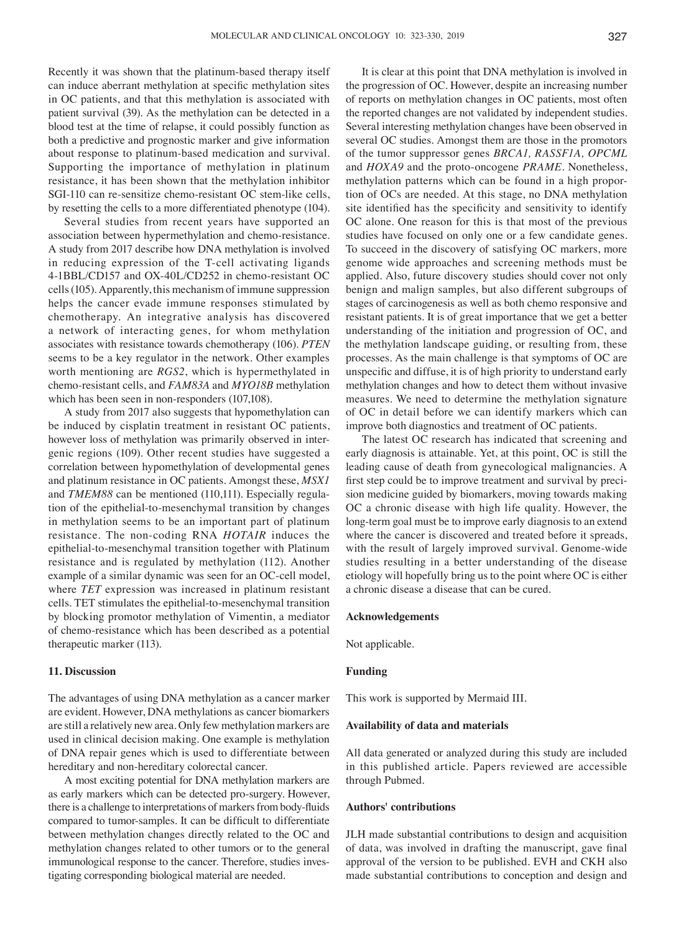Recently it was shown that the platinum‑based therapy itself can induce aberrant methylation at specific methylation sites in OC patients, and that this methylation is associated with patient survival (39). As the methylation can be detected in a blood test at the time of relapse, it could possibly function as both a predictive and prognostic marker and give information about response to platinum‑based medication and survival. Supporting the importance of methylation in platinum resistance, it has been shown that the methylation inhibitor SGI-110 can re-sensitize chemo-resistant OC stem-like cells, by resetting the cells to a more differentiated phenotype (104).

Several studies from recent years have supported an association between hypermethylation and chemo‑resistance. A study from 2017 describe how DNA methylation is involved in reducing expression of the T-cell activating ligands 4-1BBL/CD157 and OX-40L/CD252 in chemo-resistant OC cells(105). Apparently, this mechanism of immune suppression helps the cancer evade immune responses stimulated by chemotherapy. An integrative analysis has discovered a network of interacting genes, for whom methylation associates with resistance towards chemotherapy (106). *PTEN* seems to be a key regulator in the network. Other examples worth mentioning are *RGS2*, which is hypermethylated in chemo-resistant cells, and *FAM83A* and *MYO18B* methylation which has been seen in non-responders (107,108).

A study from 2017 also suggests that hypomethylation can be induced by cisplatin treatment in resistant OC patients, however loss of methylation was primarily observed in intergenic regions (109). Other recent studies have suggested a correlation between hypomethylation of developmental genes and platinum resistance in OC patients. Amongst these, *MSX1* and *TMEM88* can be mentioned (110,111). Especially regulation of the epithelial-to-mesenchymal transition by changes in methylation seems to be an important part of platinum resistance. The non-coding RNA *HOTAIR* induces the epithelial-to-mesenchymal transition together with Platinum resistance and is regulated by methylation (112). Another example of a similar dynamic was seen for an OC-cell model, where *TET* expression was increased in platinum resistant cells. TET stimulates the epithelial-to-mesenchymal transition by blocking promotor methylation of Vimentin, a mediator of chemo‑resistance which has been described as a potential therapeutic marker (113).

#### **11. Discussion**

The advantages of using DNA methylation as a cancer marker are evident. However, DNA methylations as cancer biomarkers are still a relatively new area. Only few methylation markers are used in clinical decision making. One example is methylation of DNA repair genes which is used to differentiate between hereditary and non-hereditary colorectal cancer.

A most exciting potential for DNA methylation markers are as early markers which can be detected pro‑surgery. However, there is a challenge to interpretations of markers from body‑fluids compared to tumor‑samples. It can be difficult to differentiate between methylation changes directly related to the OC and methylation changes related to other tumors or to the general immunological response to the cancer. Therefore, studies investigating corresponding biological material are needed.

It is clear at this point that DNA methylation is involved in the progression of OC. However, despite an increasing number of reports on methylation changes in OC patients, most often the reported changes are not validated by independent studies. Several interesting methylation changes have been observed in several OC studies. Amongst them are those in the promotors of the tumor suppressor genes *BRCA1, RASSF1A, OPCML* and *HOXA9* and the proto-oncogene *PRAME.* Nonetheless, methylation patterns which can be found in a high proportion of OCs are needed. At this stage, no DNA methylation site identified has the specificity and sensitivity to identify OC alone. One reason for this is that most of the previous studies have focused on only one or a few candidate genes. To succeed in the discovery of satisfying OC markers, more genome wide approaches and screening methods must be applied. Also, future discovery studies should cover not only benign and malign samples, but also different subgroups of stages of carcinogenesis as well as both chemo responsive and resistant patients. It is of great importance that we get a better understanding of the initiation and progression of OC, and the methylation landscape guiding, or resulting from, these processes. As the main challenge is that symptoms of OC are unspecific and diffuse, it is of high priority to understand early methylation changes and how to detect them without invasive measures. We need to determine the methylation signature of OC in detail before we can identify markers which can improve both diagnostics and treatment of OC patients.

The latest OC research has indicated that screening and early diagnosis is attainable. Yet, at this point, OC is still the leading cause of death from gynecological malignancies. A first step could be to improve treatment and survival by precision medicine guided by biomarkers, moving towards making OC a chronic disease with high life quality. However, the long-term goal must be to improve early diagnosis to an extend where the cancer is discovered and treated before it spreads, with the result of largely improved survival. Genome-wide studies resulting in a better understanding of the disease etiology will hopefully bring us to the point where OC is either a chronic disease a disease that can be cured.

## **Acknowledgements**

Not applicable.

# **Funding**

This work is supported by Mermaid III.

### **Availability of data and materials**

All data generated or analyzed during this study are included in this published article. Papers reviewed are accessible through Pubmed.

#### **Authors' contributions**

JLH made substantial contributions to design and acquisition of data, was involved in drafting the manuscript, gave final approval of the version to be published. EVH and CKH also made substantial contributions to conception and design and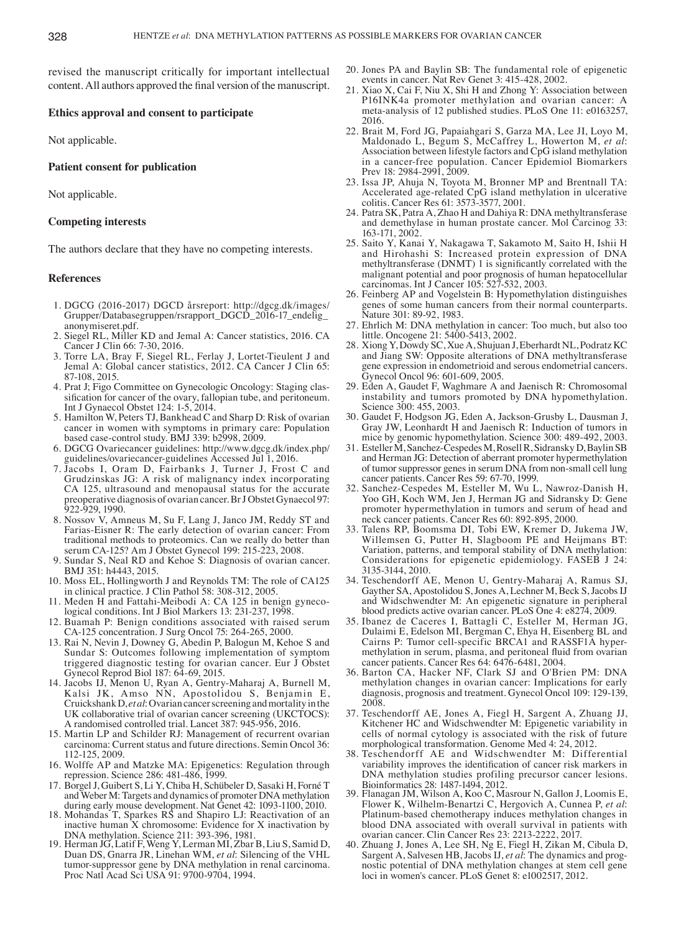revised the manuscript critically for important intellectual content. All authors approved the final version of the manuscript.

### **Ethics approval and consent to participate**

Not applicable.

# **Patient consent for publication**

Not applicable.

# **Competing interests**

The authors declare that they have no competing interests.

#### **References**

- 1. DGCG (2016-2017) DGCD årsreport: http://dgcg.dk/images/ Grupper/Databasegruppen/rsrapport\_DGCD\_2016-17\_endelig\_ anonymiseret.pdf.
- 2. Siegel RL, Miller KD and Jemal A: Cancer statistics, 2016. CA Cancer J Clin 66: 7-30, 2016.
- 3. Torre LA, Bray F, Siegel RL, Ferlay J, Lortet-Tieulent J and Jemal A: Global cancer statistics, 2012. CA Cancer J Clin 65:
- 87-108, 2015.<br>4. Prat J; Figo Committee on Gynecologic Oncology: Staging clas-<br>sification for cancer of the ovary, fallopian tube, and peritoneum. Int J Gynaecol Obstet 124: 1‑5, 2014.
- 5. Hamilton W, Peters TJ, Bankhead C and Sharp D: Risk of ovarian cancer in women with symptoms in primary care: Population based case-control study. BMJ 339: b2998, 2009.
- 6. DGCG Ovariecancer guidelines: http://www.dgcg.dk/index.php/ guidelines/ovariecancer-guidelines Accessed Jul 1, 2016.
- 7. Jacobs I, Oram D, Fairbanks J, Turner J, Frost C and Grudzinskas JG: A risk of malignancy index incorporating CA 125, ultrasound and menopausal status for the accurate preoperative diagnosis of ovarian cancer. Br J Obstet Gynaecol 97: 922-929, 1990.
- 8. Nossov V, Amneus M, Su F, Lang J, Janco JM, Reddy ST and Farias‑Eisner R: The early detection of ovarian cancer: From traditional methods to proteomics. Can we really do better than serum CA-125? Am J Obstet Gynecol 199: 215-223, 2008.
- 9. Sundar S, Neal RD and Kehoe S: Diagnosis of ovarian cancer. BMJ 351: h4443, 2015.
- 10. Moss EL, Hollingworth J and Reynolds TM: The role of CA125 in clinical practice. J Clin Pathol 58: 308‑312, 2005.
- 11. Meden H and Fattahi‑Meibodi A: CA 125 in benign gynecological conditions. Int J Biol Markers 13: 231-237, 1998.
- 12. Buamah P: Benign conditions associated with raised serum CA-125 concentration. J Surg Oncol 75: 264-265, 2000.
- 13. Rai N, Nevin J, Downey G, Abedin P, Balogun M, Kehoe S and Sundar S: Outcomes following implementation of symptom triggered diagnostic testing for ovarian cancer. Eur J Obstet Gynecol Reprod Biol 187: 64-69, 2015.
- 14. Jacobs IJ, Menon U, Ryan A, Gentry-Maharaj A, Burnell M, Kalsi JK, Amso NN, Apostolidou S, Benjamin E, CruickshankD, *et al*: Ovarian cancer screening and mortality in the UK collaborative trial of ovarian cancer screening (UKCTOCS): A randomised controlled trial. Lancet 387: 945-956, 2016.
- 15. Martin LP and Schilder RJ: Management of recurrent ovarian carcinoma: Current status and future directions. Semin Oncol 36: 112-125, 2009.
- 16. Wolffe AP and Matzke MA: Epigenetics: Regulation through repression. Science 286: 481-486, 1999.
- 17. Borgel J, Guibert S, Li Y, Chiba H, Schübeler D, Sasaki H, Forné T and Weber M: Targets and dynamics of promoter DNA methylation during early mouse development. Nat Genet 42: 1093-1100, 2010.<br>18. Mohandas T, Sparkes RS and Shapiro LJ: Reactivation of an
- inactive human X chromosome: Evidence for X inactivation by DNA methylation. Science 211: 393-396, 1981.
- 19. Herman JG, Latif F, Weng Y, Lerman MI, Zbar B, Liu S, Samid D, Duan DS, Gnarra JR, Linehan WM, *et al*: Silencing of the VHL tumor‑suppressor gene by DNA methylation in renal carcinoma. Proc Natl Acad Sci USA 91: 9700-9704, 1994.
- 20. Jones PA and Baylin SB: The fundamental role of epigenetic events in cancer. Nat Rev Genet 3: 415-428, 2002.
- 21. Xiao X, Cai F, Niu X, Shi H and Zhong Y: Association between P16INK4a promoter methylation and ovarian cancer: A meta-analysis of 12 published studies. PLoS One 11: e0163257, 2016.
- 22. Brait M, Ford JG, Papaiahgari S, Garza MA, Lee JI, Loyo M, Maldonado L, Begum S, McCaffrey L, Howerton M, *et al*: Association between lifestyle factors and CpG island methylation in a cancer-free population. Cancer Epidemiol Biomarkers Prev 18: 2984-2991, 2009.
- 23. Issa JP, Ahuja N, Toyota M, Bronner MP and Brentnall TA: Accelerated age-related CpG island methylation in ulcerative colitis. Cancer Res 61: 3573-3577, 2001.
- 24. Patra SK, Patra A, Zhao H and Dahiya R: DNA methyltransferase and demethylase in human prostate cancer. Mol Carcinog 33: 163-171, 2002.
- 25. Saito Y, Kanai Y, Nakagawa T, Sakamoto M, Saito H, Ishii H and Hirohashi S: Increased protein expression of DNA methyltransferase (DNMT) 1 is significantly correlated with the malignant potential and poor prognosis of human hepatocellular carcinomas. Int J Cancer 105: 527-532, 2003.
- 26. Feinberg AP and Vogelstein B: Hypomethylation distinguishes genes of some human cancers from their normal counterparts. Nature 301: 89-92, 1983.
- 27. Ehrlich M: DNA methylation in cancer: Too much, but also too little. Oncogene 21: 5400-5413, 2002.
- 28. Xiong Y, Dowdy SC, Xue A, Shujuan J, Eberhardt NL, Podratz KC and Jiang SW: Opposite alterations of DNA methyltransferase gene expression in endometrioid and serous endometrial cancers. Gynecol Oncol 96: 601-609, 2005.
- 29. Eden A, Gaudet F, Waghmare A and Jaenisch R: Chromosomal instability and tumors promoted by DNA hypomethylation. Science 300: 455, 2003.
- 30. Gaudet F, Hodgson JG, Eden A, Jackson‑Grusby L, Dausman J, Gray JW, Leonhardt H and Jaenisch R: Induction of tumors in mice by genomic hypomethylation. Science 300: 489-492, 2003.
- 31. Esteller M, Sanchez-Cespedes M, Rosell R, Sidransky D, Baylin SB and Herman JG: Detection of aberrant promoter hypermethylation of tumor suppressor genes in serum DNA from non-small cell lung cancer patients. Cancer Res 59: 67-70, 1999.
- 32. Sanchez‑Cespedes M, Esteller M, Wu L, Nawroz‑Danish H, Yoo GH, Koch WM, Jen J, Herman JG and Sidransky D: Gene promoter hypermethylation in tumors and serum of head and neck cancer patients. Cancer Res 60: 892-895, 2000.
- 33. Talens RP, Boomsma DI, Tobi EW, Kremer D, Jukema JW, Willemsen G, Putter H, Slagboom PE and Heijmans BT: Variation, patterns, and temporal stability of DNA methylation: Considerations for epigenetic epidemiology. FASEB J 24: 3135-3144, 2010.
- 34. Teschendorff AE, Menon U, Gentry-Maharaj A, Ramus SJ, Gayther SA, Apostolidou S, Jones A, Lechner M, Beck S, JacobsIJ and Widschwendter M: An epigenetic signature in peripheral blood predicts active ovarian cancer. PLoS One 4: e8274, 2009.
- 35. Ibanez de Caceres I, Battagli C, Esteller M, Herman JG, Dulaimi E, Edelson MI, Bergman C, Ehya H, Eisenberg BL and Cairns P: Tumor cell‑specific BRCA1 and RASSF1A hypermethylation in serum, plasma, and peritoneal fluid from ovarian cancer patients. Cancer Res 64: 6476-6481, 2004.
- 36. Barton CA, Hacker NF, Clark SJ and O'Brien PM: DNA methylation changes in ovarian cancer: Implications for early diagnosis, prognosis and treatment. Gynecol Oncol 109: 129-139, 2008.
- 37. Teschendorff AE, Jones A, Fiegl H, Sargent A, Zhuang JJ, Kitchener HC and Widschwendter M: Epigenetic variability in cells of normal cytology is associated with the risk of future morphological transformation. Genome Med 4: 24, 2012.
- 38. Teschendorff AE and Widschwendter M: Differential variability improves the identification of cancer risk markers in DNA methylation studies profiling precursor cancer lesions. Bioinformatics 28: 1487-1494, 2012.
- 39. Flanagan JM, Wilson A, Koo C, Masrour N, Gallon J, Loomis E, Flower K, Wilhelm‑Benartzi C, Hergovich A, Cunnea P, *et al*: Platinum‑based chemotherapy induces methylation changes in blood DNA associated with overall survival in patients with ovarian cancer. Clin Cancer Res 23: 2213-2222, 2017.
- 40. Zhuang J, Jones A, Lee SH, Ng E, Fiegl H, Zikan M, Cibula D, Sargent A, Salvesen HB, Jacobs IJ, *et al*: The dynamics and prognostic potential of DNA methylation changes at stem cell gene loci in women's cancer. PLoS Genet 8: e1002517, 2012.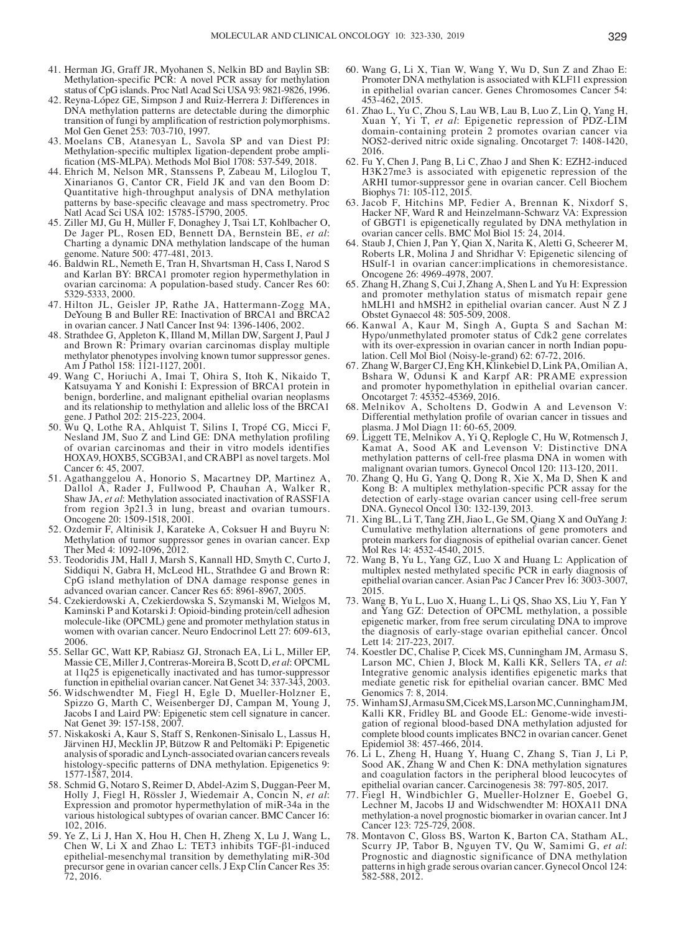- 41. Herman JG, Graff JR, Myohanen S, Nelkin BD and Baylin SB: Methylation-specific PCR: A novel PCR assay for methylation status of CpG islands. Proc Natl Acad Sci USA 93: 9821‑9826, 1996.
- 42. Reyna‑López GE, Simpson J and Ruiz‑Herrera J: Differences in DNA methylation patterns are detectable during the dimorphic transition of fungi by amplification of restriction polymorphisms. Mol Gen Genet 253: 703-710, 1997.
- 43. Moelans CB, Atanesyan L, Savola SP and van Diest PJ: Methylation-specific multiplex ligation-dependent probe amplification (MS‑MLPA). Methods Mol Biol 1708: 537‑549, 2018.
- 44. Ehrich M, Nelson MR, Stanssens P, Zabeau M, Liloglou T, Xinarianos G, Cantor CR, Field JK and van den Boom D: Quantitative high-throughput analysis of DNA methylation patterns by base‑specific cleavage and mass spectrometry. Proc Natl Acad Sci USA 102: 15785-15790, 2005.
- 45. Ziller MJ, Gu H, Müller F, Donaghey J, Tsai LT, Kohlbacher O, De Jager PL, Rosen ED, Bennett DA, Bernstein BE, *et al*: Charting a dynamic DNA methylation landscape of the human genome. Nature 500: 477-481, 2013.
- 46. Baldwin RL, Nemeth E, Tran H, Shvartsman H, Cass I, Narod S and Karlan BY: BRCA1 promoter region hypermethylation in ovarian carcinoma: A population-based study. Cancer Res 60: 5329-5333, 2000.
- 47. Hilton JL, Geisler JP, Rathe JA, Hattermann‑Zogg MA, DeYoung B and Buller RE: Inactivation of BRCA1 and BRCA2 in ovarian cancer. J Natl Cancer Inst 94: 1396-1406, 2002.
- 48. Strathdee G, Appleton K, Illand M, Millan DW, Sargent J, Paul J and Brown R: Primary ovarian carcinomas display multiple methylator phenotypes involving known tumor suppressor genes. Am J Pathol 158: 1121-1127, 2001.
- 49. Wang C, Horiuchi A, Imai T, Ohira S, Itoh K, Nikaido T, Katsuyama Y and Konishi I: Expression of BRCA1 protein in benign, borderline, and malignant epithelial ovarian neoplasms and its relationship to methylation and allelic loss of the BRCA1 gene. J Pathol 202: 215-223, 2004.
- 50. Wu Q, Lothe RA, Ahlquist T, Silins I, Tropé CG, Micci F, Nesland JM, Suo Z and Lind GE: DNA methylation profiling of ovarian carcinomas and their in vitro models identifies HOXA9, HOXB5, SCGB3A1, and CRABP1 as novel targets. Mol Cancer 6: 45, 2007.
- 51. Agathanggelou A, Honorio S, Macartney DP, Martinez A, Dallol A, Rader J, Fullwood P, Chauhan A, Walker R, Shaw JA, *et al*: Methylation associated inactivation of RASSF1A from region 3p21.3 in lung, breast and ovarian tumours. Oncogene 20: 1509-1518, 2001.
- 52. Ozdemir F, Altinisik J, Karateke A, Coksuer H and Buyru N: Methylation of tumor suppressor genes in ovarian cancer. Exp Ther Med 4: 1092-1096, 2012.
- 53. Teodoridis JM, Hall J, Marsh S, Kannall HD, Smyth C, Curto J, Siddiqui N, Gabra H, McLeod HL, Strathdee G and Brown R: CpG island methylation of DNA damage response genes in advanced ovarian cancer. Cancer Res 65: 8961-8967, 2005.
- 54. Czekierdowski A, Czekierdowska S, Szymanski M, Wielgos M, Kaminski P and Kotarski J: Opioid‑binding protein/cell adhesion molecule‑like (OPCML) gene and promoter methylation status in women with ovarian cancer. Neuro Endocrinol Lett 27: 609-613, 2006.
- 55. Sellar GC, Watt KP, Rabiasz GJ, Stronach EA, Li L, Miller EP, Massie CE, Miller J, Contreras-Moreira B, Scott D, *et al*: OPCML at 11q25 is epigenetically inactivated and has tumor-suppressor function in epithelial ovarian cancer. Nat Genet 34: 337-343, 2003.
- 56. Widschwendter M, Fiegl H, Egle D, Mueller-Holzner E, Spizzo G, Marth C, Weisenberger DJ, Campan M, Young J, Jacobs I and Laird PW: Epigenetic stem cell signature in cancer. Nat Genet 39: 157-158, 2007.
- 57. Niskakoski A, Kaur S, Staff S, Renkonen-Sinisalo L, Lassus H, Järvinen HJ, Mecklin JP, Bützow R and Peltomäki P: Epigenetic analysis of sporadic and Lynch-associated ovarian cancers reveals<br>histology-specific patterns of DNA methylation. Epigenetics 9:
- 1577-1587, 2014.<br>
58. Schmid G, Notaro S, Reimer D, Abdel-Azim S, Duggan-Peer M, Holly J, Fiegl H, Rössler J, Wiedemair A, Concin N, et al: Expression and promotor hypermethylation of miR-34a in the various histological subtypes of ovarian cancer. BMC Cancer 16: 102, 2016. 59. Ye Z, Li J, Han X, Hou H, Chen H, Zheng X, Lu J, Wang L,
- Chen W, Li X and Zhao L: TET3 inhibits TGF‑β1-induced epithelial-mesenchymal transition by demethylating miR-30d precursor gene in ovarian cancer cells. J Exp Clin Cancer Res 35: 72, 2016.
- 60. Wang G, Li X, Tian W, Wang Y, Wu D, Sun Z and Zhao E: Promoter DNA methylation is associated with KLF11 expression in epithelial ovarian cancer. Genes Chromosomes Cancer 54: 453-462, 2015.
- 61. Zhao L, Yu C, Zhou S, Lau WB, Lau B, Luo Z, Lin Q, Yang H, Xuan Y, Yi T, *et al*: Epigenetic repression of PDZ‑LIM domain-containing protein 2 promotes ovarian cancer via NOS2-derived nitric oxide signaling. Oncotarget 7: 1408-1420, 2016.
- 62. Fu Y, Chen J, Pang B, Li C, Zhao J and Shen K: EZH2-induced H3K27me3 is associated with epigenetic repression of the ARHI tumor-suppressor gene in ovarian cancer. Cell Biochem Biophys 71: 105-112, 2015.
- 63. Jacob F, Hitchins MP, Fedier A, Brennan K, Nixdorf S, Hacker NF, Ward R and Heinzelmann‑Schwarz VA: Expression of GBGT1 is epigenetically regulated by DNA methylation in ovarian cancer cells. BMC Mol Biol 15: 24, 2014.
- 64. Staub J, Chien J, Pan Y, Qian X, Narita K, Aletti G, Scheerer M, Roberts LR, Molina J and Shridhar V: Epigenetic silencing of HSulf-1 in ovarian cancer:implications in chemoresistance. Oncogene 26: 4969-4978, 2007.
- 65. Zhang H, Zhang S, Cui J, Zhang A, Shen L and Yu H: Expression and promoter methylation status of mismatch repair gene hMLH1 and hMSH2 in epithelial ovarian cancer. Aust  $\overline{N}$  Z J Obstet Gynaecol 48: 505-509, 2008.
- 66. Kanwal A, Kaur M, Singh A, Gupta S and Sachan M: Hypo/unmethylated promoter status of Cdk2 gene correlates with its over-expression in ovarian cancer in north Indian population. Cell Mol Biol (Noisy-le-grand) 62: 67-72, 2016.
- 67. Zhang W, Barger CJ, Eng KH, Klinkebiel D, Link PA, Omilian A, Bshara W, Odunsi K and Karpf AR: PRAME expression and promoter hypomethylation in epithelial ovarian cancer. Oncotarget 7: 45352-45369, 2016.
- 68. Melnikov A, Scholtens D, Godwin A and Levenson V: Differential methylation profile of ovarian cancer in tissues and plasma. J Mol Diagn 11: 60-65, 2009.
- 69. Liggett TE, Melnikov A, Yi Q, Replogle C, Hu W, Rotmensch J, Kamat A, Sood AK and Levenson V: Distinctive DNA methylation patterns of cell-free plasma DNA in women with malignant ovarian tumors. Gynecol Oncol 120: 113-120, 2011.
- 70. Zhang Q, Hu G, Yang Q, Dong R, Xie X, Ma D, Shen K and Kong B: A multiplex methylation‑specific PCR assay for the detection of early-stage ovarian cancer using cell-free serum DNA. Gynecol Oncol 130: 132-139, 2013.
- 71. Xing BL, Li T, Tang ZH, Jiao L, Ge SM, Qiang X and OuYang J: Cumulative methylation alternations of gene promoters and protein markers for diagnosis of epithelial ovarian cancer. Genet Mol Res 14: 4532-4540, 2015.
- 72. Wang B, Yu L, Yang GZ, Luo X and Huang L: Application of multiplex nested methylated specific PCR in early diagnosis of epithelial ovarian cancer. Asian Pac J Cancer Prev 16: 3003‑3007, 2015.
- 73. Wang B, Yu L, Luo X, Huang L, Li QS, Shao XS, Liu Y, Fan Y and Yang GZ: Detection of OPCML methylation, a possible epigenetic marker, from free serum circulating DNA to improve the diagnosis of early-stage ovarian epithelial cancer. Oncol Lett 14: 217-223, 2017.
- 74. Koestler DC, Chalise P, Cicek MS, Cunningham JM, Armasu S, Larson MC, Chien J, Block M, Kalli KR, Sellers TA, *et al*: Integrative genomic analysis identifies epigenetic marks that mediate genetic risk for epithelial ovarian cancer. BMC Med Genomics 7: 8, 2014.
- 75. WinhamSJ, ArmasuSM, CicekMS, LarsonMC, CunninghamJM, Kalli KR, Fridley BL and Goode EL: Genome-wide investigation of regional blood‑based DNA methylation adjusted for complete blood counts implicates BNC2 in ovarian cancer. Genet Epidemiol 38: 457-466, 2014.
- 76. Li L, Zheng H, Huang Y, Huang C, Zhang S, Tian J, Li P, Sood AK, Zhang W and Chen K: DNA methylation signatures and coagulation factors in the peripheral blood leucocytes of epithelial ovarian cancer. Carcinogenesis 38: 797-805, 2017. 77. Fiegl H, Windbichler G, Mueller‑Holzner E, Goebel G,
- Lechner M, Jacobs IJ and Widschwendter M: HOXA11 DNA methylation-a novel prognostic biomarker in ovarian cancer. Int J<br>Cancer 123: 725-729, 2008.
- 78. Montavon C, Gloss BS, Warton K, Barton CA, Statham AL, Scurry JP, Tabor B, Nguyen TV, Qu W, Samimi G, *et al*: Prognostic and diagnostic significance of DNA methylation patterns in high grade serous ovarian cancer. Gynecol Oncol 124: 582-588, 2012.